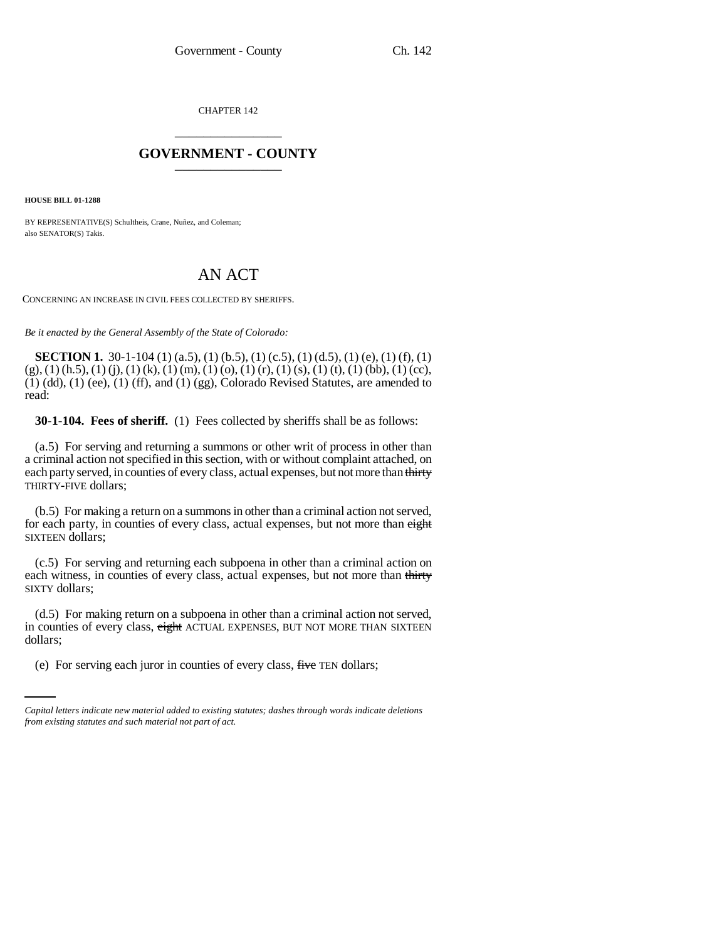CHAPTER 142 \_\_\_\_\_\_\_\_\_\_\_\_\_\_\_

## **GOVERNMENT - COUNTY** \_\_\_\_\_\_\_\_\_\_\_\_\_\_\_

**HOUSE BILL 01-1288**

BY REPRESENTATIVE(S) Schultheis, Crane, Nuñez, and Coleman; also SENATOR(S) Takis.

## AN ACT

CONCERNING AN INCREASE IN CIVIL FEES COLLECTED BY SHERIFFS.

*Be it enacted by the General Assembly of the State of Colorado:*

**SECTION 1.** 30-1-104 (1) (a.5), (1) (b.5), (1) (c.5), (1) (d.5), (1) (e), (1) (f), (1)  $(g)$ , (1) (h.5), (1) (j), (1) (k), (1) (m), (1) (o), (1) (r), (1) (s), (1) (t), (1) (bb), (1) (cc),  $(1)$  (dd),  $(1)$  (ee),  $(1)$  (ff), and  $(1)$  (gg), Colorado Revised Statutes, are amended to read:

**30-1-104. Fees of sheriff.** (1) Fees collected by sheriffs shall be as follows:

(a.5) For serving and returning a summons or other writ of process in other than a criminal action not specified in this section, with or without complaint attached, on each party served, in counties of every class, actual expenses, but not more than thirty THIRTY-FIVE dollars;

(b.5) For making a return on a summons in other than a criminal action not served, for each party, in counties of every class, actual expenses, but not more than eight SIXTEEN dollars;

(c.5) For serving and returning each subpoena in other than a criminal action on each witness, in counties of every class, actual expenses, but not more than thirty SIXTY dollars;

dollars; (d.5) For making return on a subpoena in other than a criminal action not served, in counties of every class, eight ACTUAL EXPENSES, BUT NOT MORE THAN SIXTEEN

(e) For serving each juror in counties of every class, five TEN dollars;

*Capital letters indicate new material added to existing statutes; dashes through words indicate deletions from existing statutes and such material not part of act.*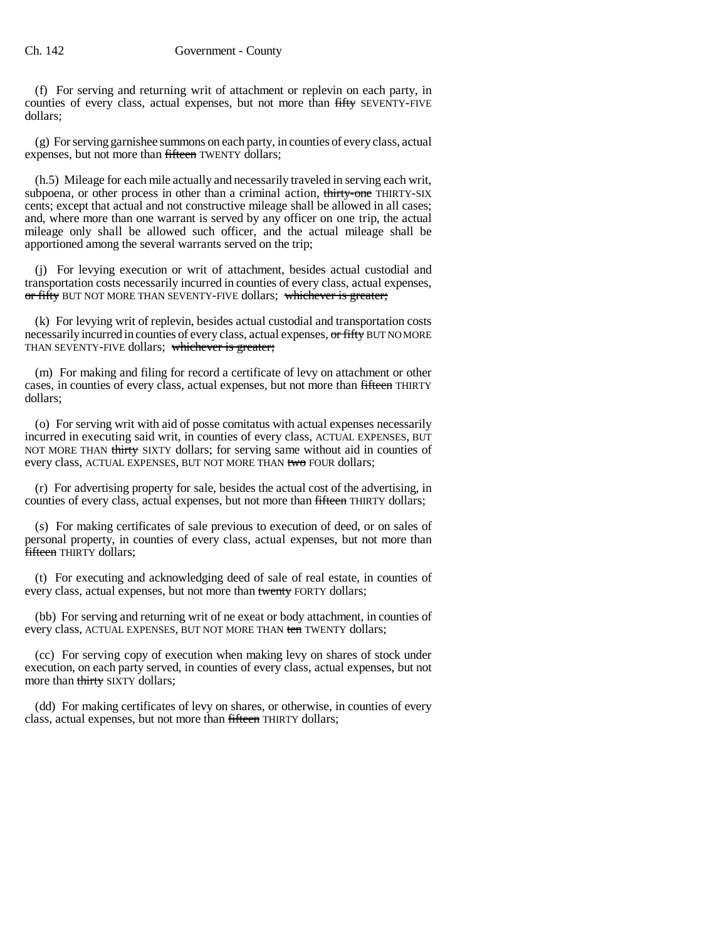(f) For serving and returning writ of attachment or replevin on each party, in counties of every class, actual expenses, but not more than fifty SEVENTY-FIVE dollars;

(g) For serving garnishee summons on each party, in counties of every class, actual expenses, but not more than fifteen TWENTY dollars;

(h.5) Mileage for each mile actually and necessarily traveled in serving each writ, subpoena, or other process in other than a criminal action, thirty-one THIRTY-SIX cents; except that actual and not constructive mileage shall be allowed in all cases; and, where more than one warrant is served by any officer on one trip, the actual mileage only shall be allowed such officer, and the actual mileage shall be apportioned among the several warrants served on the trip;

(j) For levying execution or writ of attachment, besides actual custodial and transportation costs necessarily incurred in counties of every class, actual expenses, or fifty BUT NOT MORE THAN SEVENTY-FIVE dollars; whichever is greater;

(k) For levying writ of replevin, besides actual custodial and transportation costs necessarily incurred in counties of every class, actual expenses, or fifty BUT NOMORE THAN SEVENTY-FIVE dollars; whichever is greater;

(m) For making and filing for record a certificate of levy on attachment or other cases, in counties of every class, actual expenses, but not more than fifteen THIRTY dollars;

(o) For serving writ with aid of posse comitatus with actual expenses necessarily incurred in executing said writ, in counties of every class, ACTUAL EXPENSES, BUT NOT MORE THAN thirty SIXTY dollars; for serving same without aid in counties of every class, ACTUAL EXPENSES, BUT NOT MORE THAN two FOUR dollars;

(r) For advertising property for sale, besides the actual cost of the advertising, in counties of every class, actual expenses, but not more than fifteen THIRTY dollars;

(s) For making certificates of sale previous to execution of deed, or on sales of personal property, in counties of every class, actual expenses, but not more than **fifteen** THIRTY dollars:

(t) For executing and acknowledging deed of sale of real estate, in counties of every class, actual expenses, but not more than twenty FORTY dollars;

(bb) For serving and returning writ of ne exeat or body attachment, in counties of every class, ACTUAL EXPENSES, BUT NOT MORE THAN ten TWENTY dollars;

(cc) For serving copy of execution when making levy on shares of stock under execution, on each party served, in counties of every class, actual expenses, but not more than thirty SIXTY dollars;

(dd) For making certificates of levy on shares, or otherwise, in counties of every class, actual expenses, but not more than fifteen THIRTY dollars;